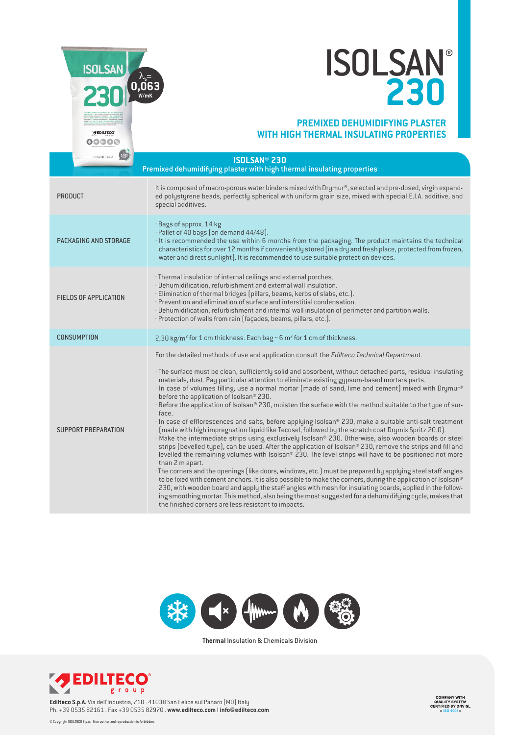

 $\circ\circ\circ\circ$ 

## ISOLSAN  $\lambda_{\text{max}}$ <br> **230**

## **PREMIXED DEHUMIDIFYING PLASTER WITH HIGH THERMAL INSULATING PROPERTIES**

| Resa 60 L Yield              | <b>ISOLSAN<sup>®</sup> 230</b><br>Premixed dehumidifying plaster with high thermal insulating properties                                                                                                                                                                                                                                                                                                                                                                                                                                                                                                                                                                                                                                                                                                                                                                                                                                                                                                                                                                                                                                                                                                                                                                                                                                                                                                                                                                                                                                                                                                                                                                   |  |
|------------------------------|----------------------------------------------------------------------------------------------------------------------------------------------------------------------------------------------------------------------------------------------------------------------------------------------------------------------------------------------------------------------------------------------------------------------------------------------------------------------------------------------------------------------------------------------------------------------------------------------------------------------------------------------------------------------------------------------------------------------------------------------------------------------------------------------------------------------------------------------------------------------------------------------------------------------------------------------------------------------------------------------------------------------------------------------------------------------------------------------------------------------------------------------------------------------------------------------------------------------------------------------------------------------------------------------------------------------------------------------------------------------------------------------------------------------------------------------------------------------------------------------------------------------------------------------------------------------------------------------------------------------------------------------------------------------------|--|
| <b>PRODUCT</b>               | It is composed of macro-porous water binders mixed with Drymur®, selected and pre-dosed, virgin expand-<br>ed polystyrene beads, perfectly spherical with uniform grain size, mixed with special E.I.A. additive, and<br>special additives.                                                                                                                                                                                                                                                                                                                                                                                                                                                                                                                                                                                                                                                                                                                                                                                                                                                                                                                                                                                                                                                                                                                                                                                                                                                                                                                                                                                                                                |  |
| PACKAGING AND STORAGE        | · Bags of approx. 14 kg<br>$\cdot$ Pallet of 40 bags (on demand 44/48).<br>· It is recommended the use within 6 months from the packaging. The product maintains the technical<br>characteristics for over 12 months if conveniently stored (in a dry and fresh place, protected from frozen,<br>water and direct sunlight). It is recommended to use suitable protection devices.                                                                                                                                                                                                                                                                                                                                                                                                                                                                                                                                                                                                                                                                                                                                                                                                                                                                                                                                                                                                                                                                                                                                                                                                                                                                                         |  |
| <b>FIELDS OF APPLICATION</b> | · Thermal insulation of internal ceilings and external porches.<br>· Dehumidification, refurbishment and external wall insulation.<br>· Elimination of thermal bridges (pillars, beams, kerbs of slabs, etc.).<br>· Prevention and elimination of surface and interstitial condensation.<br>· Dehumidification, refurbishment and internal wall insulation of perimeter and partition walls.<br>· Protection of walls from rain (façades, beams, pillars, etc.).                                                                                                                                                                                                                                                                                                                                                                                                                                                                                                                                                                                                                                                                                                                                                                                                                                                                                                                                                                                                                                                                                                                                                                                                           |  |
| <b>CONSUMPTION</b>           | 2,30 kg/m <sup>2</sup> for 1 cm thickness. Each bag $\sim$ 6 m <sup>2</sup> for 1 cm of thickness.                                                                                                                                                                                                                                                                                                                                                                                                                                                                                                                                                                                                                                                                                                                                                                                                                                                                                                                                                                                                                                                                                                                                                                                                                                                                                                                                                                                                                                                                                                                                                                         |  |
| SUPPORT PREPARATION          | For the detailed methods of use and application consult the Edilteco Technical Department.<br>The surface must be clean, sufficiently solid and absorbent, without detached parts, residual insulating •<br>materials, dust. Pay particular attention to eliminate existing gypsum-based mortars parts.<br>· In case of volumes filling, use a normal mortar (made of sand, lime and cement) mixed with Drymur®<br>before the application of Isolsan® 230.<br>· Before the application of Isolsan® 230, moisten the surface with the method suitable to the type of sur-<br>face.<br>$\cdot$ In case of efflorescences and salts, before applying Isolsan® 230, make a suitable anti-salt treatment<br>[made with high impregnation liquid like Tecosel, followed by the scratch coat Drymix Spritz 20.0].<br>· Make the intermediate strips using exclusively Isolsan® 230. Otherwise, also wooden boards or steel<br>strips (bevelled type), can be used. After the application of Isolsan® 230, remove the strips and fill and<br>levelled the remaining volumes with Isolsan® 230. The level strips will have to be positioned not more<br>than 2 m apart.<br>The corners and the openings (like doors, windows, etc.) must be prepared by applying steel staff angles ·<br>to be fixed with cement anchors. It is also possible to make the corners, during the application of Isolsan®<br>230, with wooden board and apply the staff angles with mesh for insulating boards, applied in the follow-<br>ing smoothing mortar. This method, also being the most suggested for a dehumidifying cycle, makes that<br>the finished corners are less resistant to impacts. |  |



**Thermal** Insulation & Chemicals Division



**Edilteco S.p.A.** Via dell'Industria, 710 . 41038 San Felice sul Panaro (MO) Italy Ph. +39 0535 82161 . Fax +39 0535 82970 . **www.edilteco.com** I **info@edilteco.com**